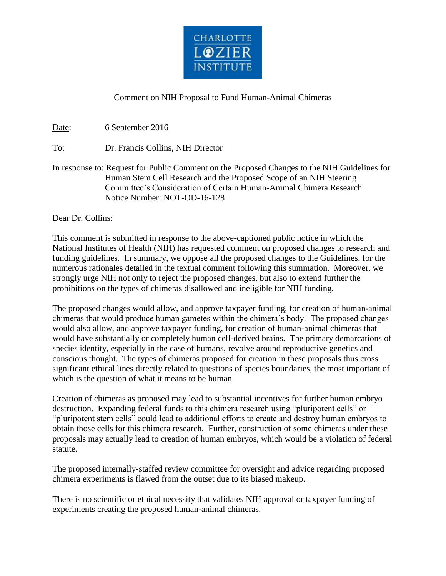

# Comment on NIH Proposal to Fund Human-Animal Chimeras

Date: 6 September 2016

To: Dr. Francis Collins, NIH Director

In response to: Request for Public Comment on the Proposed Changes to the NIH Guidelines for Human Stem Cell Research and the Proposed Scope of an NIH Steering Committee's Consideration of Certain Human-Animal Chimera Research Notice Number: NOT-OD-16-128

Dear Dr. Collins:

This comment is submitted in response to the above-captioned public notice in which the National Institutes of Health (NIH) has requested comment on proposed changes to research and funding guidelines. In summary, we oppose all the proposed changes to the Guidelines, for the numerous rationales detailed in the textual comment following this summation. Moreover, we strongly urge NIH not only to reject the proposed changes, but also to extend further the prohibitions on the types of chimeras disallowed and ineligible for NIH funding.

The proposed changes would allow, and approve taxpayer funding, for creation of human-animal chimeras that would produce human gametes within the chimera's body. The proposed changes would also allow, and approve taxpayer funding, for creation of human-animal chimeras that would have substantially or completely human cell-derived brains. The primary demarcations of species identity, especially in the case of humans, revolve around reproductive genetics and conscious thought. The types of chimeras proposed for creation in these proposals thus cross significant ethical lines directly related to questions of species boundaries, the most important of which is the question of what it means to be human.

Creation of chimeras as proposed may lead to substantial incentives for further human embryo destruction. Expanding federal funds to this chimera research using "pluripotent cells" or "pluripotent stem cells" could lead to additional efforts to create and destroy human embryos to obtain those cells for this chimera research. Further, construction of some chimeras under these proposals may actually lead to creation of human embryos, which would be a violation of federal statute.

The proposed internally-staffed review committee for oversight and advice regarding proposed chimera experiments is flawed from the outset due to its biased makeup.

There is no scientific or ethical necessity that validates NIH approval or taxpayer funding of experiments creating the proposed human-animal chimeras.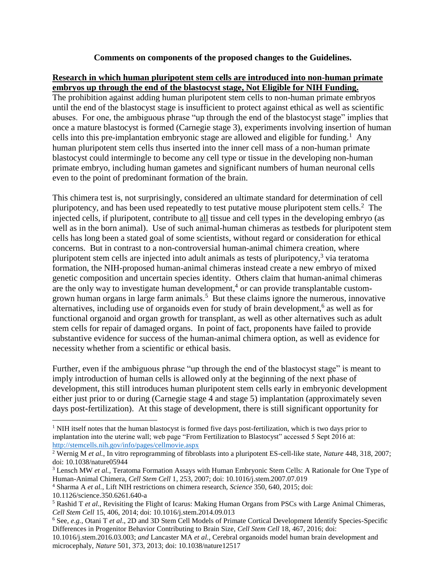#### **Comments on components of the proposed changes to the Guidelines.**

### **Research in which human pluripotent stem cells are introduced into non-human primate embryos up through the end of the blastocyst stage, Not Eligible for NIH Funding.**

The prohibition against adding human pluripotent stem cells to non-human primate embryos until the end of the blastocyst stage is insufficient to protect against ethical as well as scientific abuses. For one, the ambiguous phrase "up through the end of the blastocyst stage" implies that once a mature blastocyst is formed (Carnegie stage 3), experiments involving insertion of human cells into this pre-implantation embryonic stage are allowed and eligible for funding.<sup>1</sup> Any human pluripotent stem cells thus inserted into the inner cell mass of a non-human primate blastocyst could intermingle to become any cell type or tissue in the developing non-human primate embryo, including human gametes and significant numbers of human neuronal cells even to the point of predominant formation of the brain.

This chimera test is, not surprisingly, considered an ultimate standard for determination of cell pluripotency, and has been used repeatedly to test putative mouse pluripotent stem cells.<sup>2</sup> The injected cells, if pluripotent, contribute to all tissue and cell types in the developing embryo (as well as in the born animal). Use of such animal-human chimeras as testbeds for pluripotent stem cells has long been a stated goal of some scientists, without regard or consideration for ethical concerns. But in contrast to a non-controversial human-animal chimera creation, where pluripotent stem cells are injected into adult animals as tests of pluripotency, $3$  via teratoma formation, the NIH-proposed human-animal chimeras instead create a new embryo of mixed genetic composition and uncertain species identity. Others claim that human-animal chimeras are the only way to investigate human development, 4 or can provide transplantable customgrown human organs in large farm animals.<sup>5</sup> But these claims ignore the numerous, innovative alternatives, including use of organoids even for study of brain development, 6 as well as for functional organoid and organ growth for transplant, as well as other alternatives such as adult stem cells for repair of damaged organs. In point of fact, proponents have failed to provide substantive evidence for success of the human-animal chimera option, as well as evidence for necessity whether from a scientific or ethical basis.

Further, even if the ambiguous phrase "up through the end of the blastocyst stage" is meant to imply introduction of human cells is allowed only at the beginning of the next phase of development, this still introduces human pluripotent stem cells early in embryonic development either just prior to or during (Carnegie stage 4 and stage 5) implantation (approximately seven days post-fertilization). At this stage of development, there is still significant opportunity for

 $\overline{a}$ 

 $1$  NIH itself notes that the human blastocyst is formed five days post-fertilization, which is two days prior to implantation into the uterine wall; web page "From Fertilization to Blastocyst" accessed 5 Sept 2016 at: <http://stemcells.nih.gov/info/pages/cellmovie.aspx>

<sup>2</sup> Wernig M *et al.*, In vitro reprogramming of fibroblasts into a pluripotent ES-cell-like state, *Nature* 448, 318, 2007; doi: 10.1038/nature05944

<sup>3</sup> Lensch MW *et al.*, Teratoma Formation Assays with Human Embryonic Stem Cells: A Rationale for One Type of Human-Animal Chimera, *Cell Stem Cell* 1, 253, 2007; doi: 10.1016/j.stem.2007.07.019

<sup>4</sup> Sharma A *et al.*, Lift NIH restrictions on chimera research, *Science* 350, 640, 2015; doi:

<sup>10.1126/</sup>science.350.6261.640-a

<sup>&</sup>lt;sup>5</sup> Rashid T *et al.*, Revisiting the Flight of Icarus: Making Human Organs from PSCs with Large Animal Chimeras, *Cell Stem Cell* 15, 406, 2014; doi: 10.1016/j.stem.2014.09.013

<sup>6</sup> See, *e.g.,* Otani T *et al*., 2D and 3D Stem Cell Models of Primate Cortical Development Identify Species-Specific Differences in Progenitor Behavior Contributing to Brain Size, *Cell Stem Cell* 18, 467, 2016; doi:

<sup>10.1016/</sup>j.stem.2016.03.003; *and* Lancaster MA *et al.*, Cerebral organoids model human brain development and microcephaly, *Nature* 501, 373, 2013; doi: 10.1038/nature12517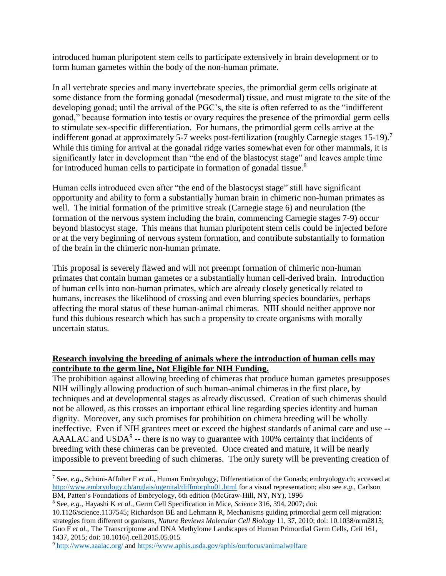introduced human pluripotent stem cells to participate extensively in brain development or to form human gametes within the body of the non-human primate.

In all vertebrate species and many invertebrate species, the primordial germ cells originate at some distance from the forming gonadal (mesodermal) tissue, and must migrate to the site of the developing gonad; until the arrival of the PGC's, the site is often referred to as the "indifferent gonad," because formation into testis or ovary requires the presence of the primordial germ cells to stimulate sex-specific differentiation. For humans, the primordial germ cells arrive at the indifferent gonad at approximately 5-7 weeks post-fertilization (roughly Carnegie stages 15-19).<sup>7</sup> While this timing for arrival at the gonadal ridge varies somewhat even for other mammals, it is significantly later in development than "the end of the blastocyst stage" and leaves ample time for introduced human cells to participate in formation of gonadal tissue.<sup>8</sup>

Human cells introduced even after "the end of the blastocyst stage" still have significant opportunity and ability to form a substantially human brain in chimeric non-human primates as well. The initial formation of the primitive streak (Carnegie stage 6) and neurulation (the formation of the nervous system including the brain, commencing Carnegie stages 7-9) occur beyond blastocyst stage. This means that human pluripotent stem cells could be injected before or at the very beginning of nervous system formation, and contribute substantially to formation of the brain in the chimeric non-human primate.

This proposal is severely flawed and will not preempt formation of chimeric non-human primates that contain human gametes or a substantially human cell-derived brain. Introduction of human cells into non-human primates, which are already closely genetically related to humans, increases the likelihood of crossing and even blurring species boundaries, perhaps affecting the moral status of these human-animal chimeras. NIH should neither approve nor fund this dubious research which has such a propensity to create organisms with morally uncertain status.

# **Research involving the breeding of animals where the introduction of human cells may contribute to the germ line, Not Eligible for NIH Funding.**

The prohibition against allowing breeding of chimeras that produce human gametes presupposes NIH willingly allowing production of such human-animal chimeras in the first place, by techniques and at developmental stages as already discussed. Creation of such chimeras should not be allowed, as this crosses an important ethical line regarding species identity and human dignity. Moreover, any such promises for prohibition on chimera breeding will be wholly ineffective. Even if NIH grantees meet or exceed the highest standards of animal care and use -- AAALAC and USDA $9$  -- there is no way to guarantee with 100% certainty that incidents of breeding with these chimeras can be prevented. Once created and mature, it will be nearly impossible to prevent breeding of such chimeras. The only surety will be preventing creation of

 $\overline{a}$ <sup>7</sup> See, *e.g*., Schöni-Affolter F *et al.*, Human Embryology, Differentiation of the Gonads; embryology.ch; accessed at <http://www.embryology.ch/anglais/ugenital/diffmorpho01.html> for a visual representation; also see *e.g*., Carlson BM, Patten's Foundations of Embryology, 6th edition (McGraw-Hill, NY, NY), 1996

<sup>8</sup> See, *e.g.*, Hayashi K *et al.*, Germ Cell Specification in Mice, *Science* 316, 394, 2007; doi:

<sup>10.1126/</sup>science.1137545; Richardson BE and Lehmann R, Mechanisms guiding primordial germ cell migration: strategies from different organisms, *Nature Reviews Molecular Cell Biology* 11, 37, 2010; doi: 10.1038/nrm2815; Guo F *et al.*, The Transcriptome and DNA Methylome Landscapes of Human Primordial Germ Cells, *Cell* 161, 1437, 2015; doi: 10.1016/j.cell.2015.05.015

<sup>9</sup> <http://www.aaalac.org/> and<https://www.aphis.usda.gov/aphis/ourfocus/animalwelfare>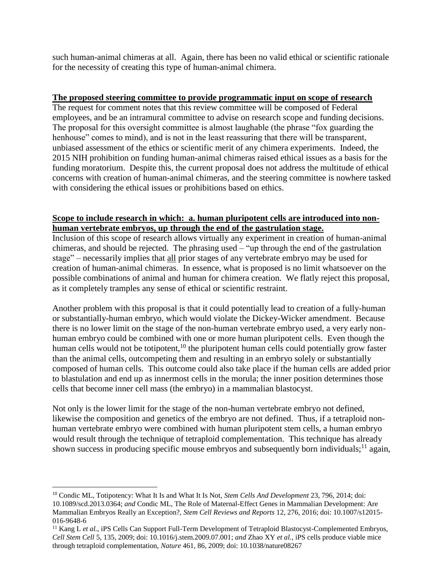such human-animal chimeras at all. Again, there has been no valid ethical or scientific rationale for the necessity of creating this type of human-animal chimera.

#### **The proposed steering committee to provide programmatic input on scope of research**

The request for comment notes that this review committee will be composed of Federal employees, and be an intramural committee to advise on research scope and funding decisions. The proposal for this oversight committee is almost laughable (the phrase "fox guarding the henhouse" comes to mind), and is not in the least reassuring that there will be transparent, unbiased assessment of the ethics or scientific merit of any chimera experiments. Indeed, the 2015 NIH prohibition on funding human-animal chimeras raised ethical issues as a basis for the funding moratorium. Despite this, the current proposal does not address the multitude of ethical concerns with creation of human-animal chimeras, and the steering committee is nowhere tasked with considering the ethical issues or prohibitions based on ethics.

## **Scope to include research in which: a. human pluripotent cells are introduced into nonhuman vertebrate embryos, up through the end of the gastrulation stage.**

Inclusion of this scope of research allows virtually any experiment in creation of human-animal chimeras, and should be rejected. The phrasing used – "up through the end of the gastrulation stage" – necessarily implies that all prior stages of any vertebrate embryo may be used for creation of human-animal chimeras. In essence, what is proposed is no limit whatsoever on the possible combinations of animal and human for chimera creation. We flatly reject this proposal, as it completely tramples any sense of ethical or scientific restraint.

Another problem with this proposal is that it could potentially lead to creation of a fully-human or substantially-human embryo, which would violate the Dickey-Wicker amendment. Because there is no lower limit on the stage of the non-human vertebrate embryo used, a very early nonhuman embryo could be combined with one or more human pluripotent cells. Even though the human cells would not be totipotent, $10$  the pluripotent human cells could potentially grow faster than the animal cells, outcompeting them and resulting in an embryo solely or substantially composed of human cells. This outcome could also take place if the human cells are added prior to blastulation and end up as innermost cells in the morula; the inner position determines those cells that become inner cell mass (the embryo) in a mammalian blastocyst.

Not only is the lower limit for the stage of the non-human vertebrate embryo not defined, likewise the composition and genetics of the embryo are not defined. Thus, if a tetraploid nonhuman vertebrate embryo were combined with human pluripotent stem cells, a human embryo would result through the technique of tetraploid complementation. This technique has already shown success in producing specific mouse embryos and subsequently born individuals;<sup>11</sup> again,

 $\overline{a}$ 

<sup>10</sup> Condic ML, Totipotency: What It Is and What It Is Not, *Stem Cells And Development* 23, 796, 2014; doi: 10.1089/scd.2013.0364; *and* Condic ML, The Role of Maternal-Effect Genes in Mammalian Development: Are Mammalian Embryos Really an Exception?, *Stem Cell Reviews and Reports* 12, 276, 2016; doi: 10.1007/s12015- 016-9648-6

<sup>&</sup>lt;sup>11</sup> Kang L *et al.*, iPS Cells Can Support Full-Term Development of Tetraploid Blastocyst-Complemented Embryos, *Cell Stem Cell* 5, 135, 2009; doi: 10.1016/j.stem.2009.07.001; *and* Zhao XY *et al.*, iPS cells produce viable mice through tetraploid complementation, *Nature* 461, 86, 2009; doi: 10.1038/nature08267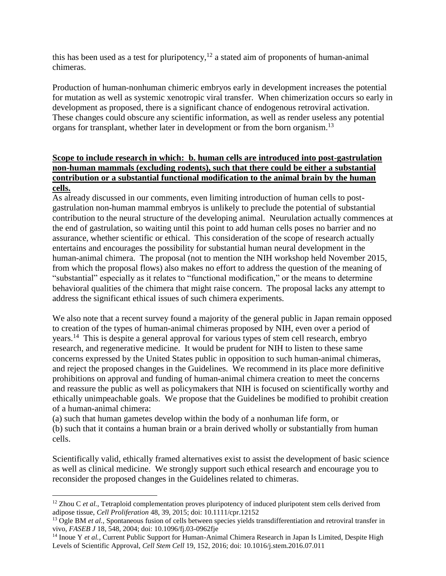this has been used as a test for pluripotency,<sup>12</sup> a stated aim of proponents of human-animal chimeras.

Production of human-nonhuman chimeric embryos early in development increases the potential for mutation as well as systemic xenotropic viral transfer. When chimerization occurs so early in development as proposed, there is a significant chance of endogenous retroviral activation. These changes could obscure any scientific information, as well as render useless any potential organs for transplant, whether later in development or from the born organism.<sup>13</sup>

# **Scope to include research in which: b. human cells are introduced into post-gastrulation non-human mammals (excluding rodents), such that there could be either a substantial contribution or a substantial functional modification to the animal brain by the human cells.**

As already discussed in our comments, even limiting introduction of human cells to postgastrulation non-human mammal embryos is unlikely to preclude the potential of substantial contribution to the neural structure of the developing animal. Neurulation actually commences at the end of gastrulation, so waiting until this point to add human cells poses no barrier and no assurance, whether scientific or ethical. This consideration of the scope of research actually entertains and encourages the possibility for substantial human neural development in the human-animal chimera. The proposal (not to mention the NIH workshop held November 2015, from which the proposal flows) also makes no effort to address the question of the meaning of "substantial" especially as it relates to "functional modification," or the means to determine behavioral qualities of the chimera that might raise concern. The proposal lacks any attempt to address the significant ethical issues of such chimera experiments.

We also note that a recent survey found a majority of the general public in Japan remain opposed to creation of the types of human-animal chimeras proposed by NIH, even over a period of years.<sup>14</sup> This is despite a general approval for various types of stem cell research, embryo research, and regenerative medicine. It would be prudent for NIH to listen to these same concerns expressed by the United States public in opposition to such human-animal chimeras, and reject the proposed changes in the Guidelines. We recommend in its place more definitive prohibitions on approval and funding of human-animal chimera creation to meet the concerns and reassure the public as well as policymakers that NIH is focused on scientifically worthy and ethically unimpeachable goals. We propose that the Guidelines be modified to prohibit creation of a human-animal chimera:

(a) such that human gametes develop within the body of a nonhuman life form, or (b) such that it contains a human brain or a brain derived wholly or substantially from human cells.

Scientifically valid, ethically framed alternatives exist to assist the development of basic science as well as clinical medicine. We strongly support such ethical research and encourage you to reconsider the proposed changes in the Guidelines related to chimeras.

 $\overline{a}$ 

<sup>&</sup>lt;sup>12</sup> Zhou C *et al.*, Tetraploid complementation proves pluripotency of induced pluripotent stem cells derived from adipose tissue, *Cell Proliferation* 48, 39, 2015; doi: 10.1111/cpr.12152

<sup>&</sup>lt;sup>13</sup> Ogle BM *et al.*, Spontaneous fusion of cells between species yields transdifferentiation and retroviral transfer in vivo, *FASEB J* 18, 548, 2004; doi: 10.1096/fj.03-0962fje

<sup>&</sup>lt;sup>14</sup> Inoue Y *et al.*, Current Public Support for Human-Animal Chimera Research in Japan Is Limited, Despite High Levels of Scientific Approval, *Cell Stem Cell* 19, 152, 2016; doi: 10.1016/j.stem.2016.07.011